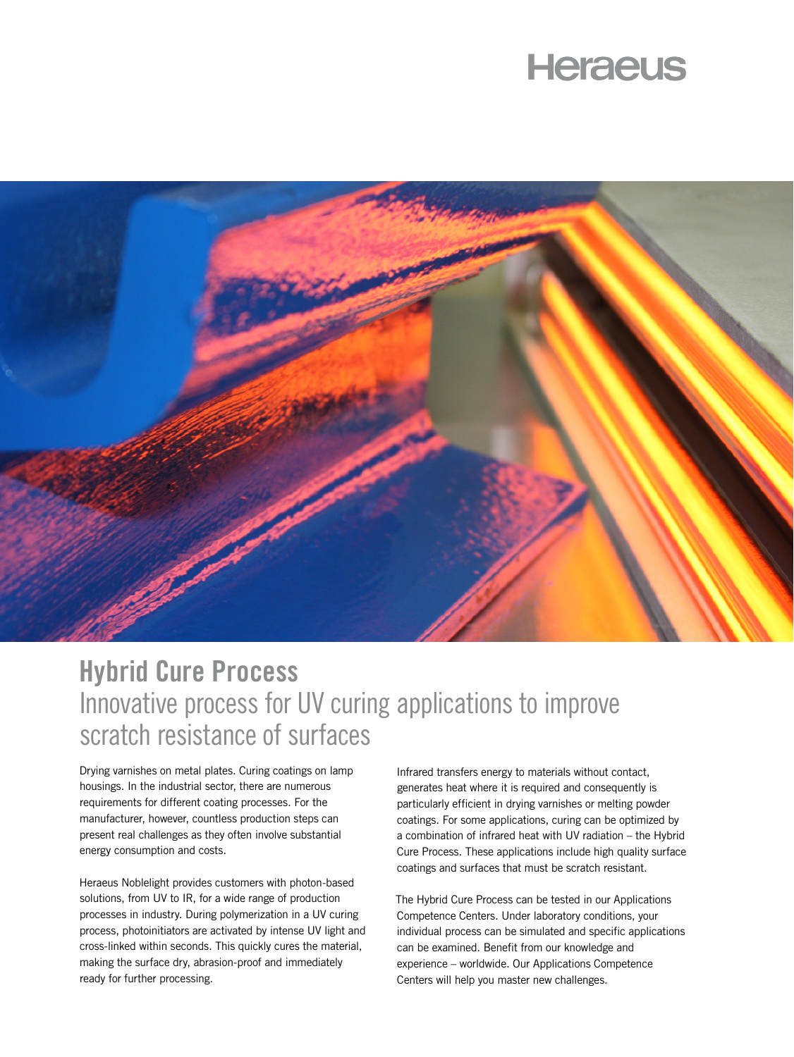# **Heraeus**



## **Hybrid Cure Process** Innovative process for UV curing applications to improve scratch resistance of surfaces

Drying varnishes on metal plates. Curing coatings on lamp housings. In the industrial sector, there are numerous requirements for different coating processes. For the manufacturer, however, countless production steps can present real challenges as they often involve substantial energy consumption and costs.

Heraeus Noblelight provides customers with photon-based solutions, from UV to IR, for a wide range of production processes in industry. During polymerization in a UV curing process, photoinitiators are activated by intense UV light and cross-linked within seconds. This quickly cures the material, making the surface dry, abrasion-proof and immediately ready for further processing.

Infrared transfers energy to materials without contact, generates heat where it is required and consequently is particularly efficient in drying varnishes or melting powder coatings. For some applications, curing can be optimized by a combination of infrared heat with UV radiation – the Hybrid Cure Process. These applications include high quality surface coatings and surfaces that must be scratch resistant.

The Hybrid Cure Process can be tested in our Applications Competence Centers. Under laboratory conditions, your individual process can be simulated and specific applications can be examined. Benefit from our knowledge and experience – worldwide. Our Applications Competence Centers will help you master new challenges.